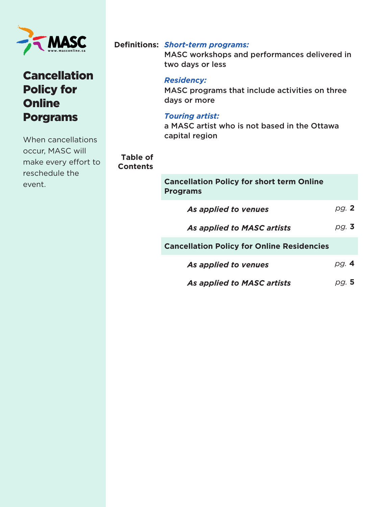

# **Cancellation** Policy for **Online** Porgrams

When cancellations occur, MASC will make every effort to reschedule the event.

#### *Short-term programs:*  **Definitions:**

MASC workshops and performances delivered in two days or less

#### *Residency:*

MASC programs that include activities on three days or more

#### *Touring artist:*

**Table of Contents** 

a MASC artist who is not based in the Ottawa capital region

#### **Cancellation Policy for short term Online Programs** *As applied to venues As applied to MASC artists* **Cancellation Policy for Online Residencies**  *As applied to venues As applied to MASC artists pg.* **<sup>2</sup>** *pg.* **<sup>3</sup>** *pg.* **<sup>4</sup>** *pg.* **<sup>5</sup>**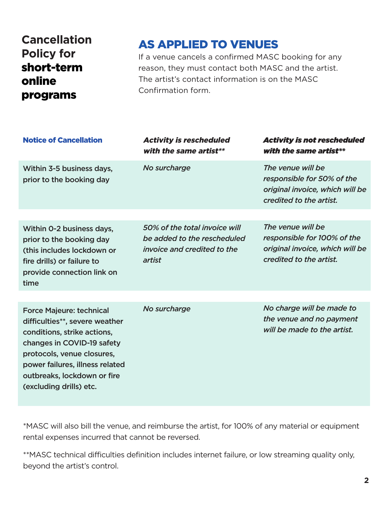# **Cancellation Policy for**  short-term online programs

# AS APPLIED TO VENUES

If a venue cancels a confirmed MASC booking for any reason, they must contact both MASC and the artist. The artist's contact information is on the MASC Confirmation form.

| <b>Notice of Cancellation</b>                                                                                                                                                                                                                             | <b>Activity is rescheduled</b><br>with the same artist**                                              | <b>Activity is not rescheduled</b><br>with the same artist**                                                   |
|-----------------------------------------------------------------------------------------------------------------------------------------------------------------------------------------------------------------------------------------------------------|-------------------------------------------------------------------------------------------------------|----------------------------------------------------------------------------------------------------------------|
| Within 3-5 business days,<br>prior to the booking day                                                                                                                                                                                                     | No surcharge                                                                                          | The venue will be<br>responsible for 50% of the<br>original invoice, which will be<br>credited to the artist.  |
|                                                                                                                                                                                                                                                           |                                                                                                       |                                                                                                                |
| Within O-2 business days,<br>prior to the booking day<br>(this includes lockdown or<br>fire drills) or failure to<br>provide connection link on<br>time                                                                                                   | 50% of the total invoice will<br>be added to the rescheduled<br>invoice and credited to the<br>artist | The venue will be<br>responsible for 100% of the<br>original invoice, which will be<br>credited to the artist. |
|                                                                                                                                                                                                                                                           |                                                                                                       |                                                                                                                |
| <b>Force Majeure: technical</b><br>difficulties**, severe weather<br>conditions, strike actions,<br>changes in COVID-19 safety<br>protocols, venue closures,<br>power failures, illness related<br>outbreaks, lockdown or fire<br>(excluding drills) etc. | No surcharge                                                                                          | No charge will be made to<br>the venue and no payment<br>will be made to the artist.                           |

\*MASC will also bill the venue, and reimburse the artist, for 100% of any material or equipment rental expenses incurred that cannot be reversed.

\*\*MASC technical difficulties definition includes internet failure, or low streaming quality only, beyond the artist's control.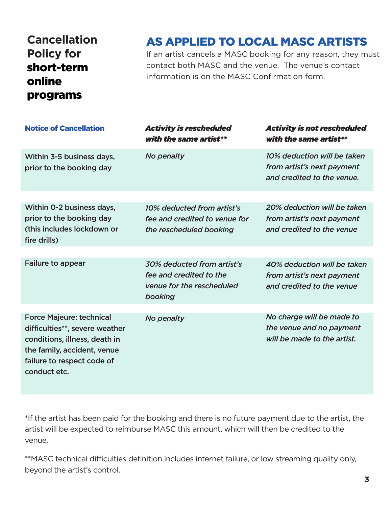# **Cancellation Policy for**  short-term online programs

# AS APPLIED TO LOCAL MASC ARTISTS

If an artist cancels a MASC booking for any reason, they must contact both MASC and the venue. The venue's contact information is on the MASC Confirmation form.

| <b>Notice of Cancellation</b>                                                                                                                                                   | <b>Activity is rescheduled</b><br>with the same artist**                                      | <b>Activity is not rescheduled</b><br>with the same artist**                            |
|---------------------------------------------------------------------------------------------------------------------------------------------------------------------------------|-----------------------------------------------------------------------------------------------|-----------------------------------------------------------------------------------------|
| Within 3-5 business days,<br>prior to the booking day                                                                                                                           | No penalty                                                                                    | 10% deduction will be taken<br>from artist's next payment<br>and credited to the venue. |
| Within 0-2 business days,                                                                                                                                                       | 10% deducted from artist's                                                                    | 20% deduction will be taken                                                             |
| prior to the booking day<br>(this includes lockdown or<br>fire drills)                                                                                                          | fee and credited to venue for<br>the rescheduled booking                                      | from artist's next payment<br>and credited to the venue                                 |
|                                                                                                                                                                                 |                                                                                               |                                                                                         |
| <b>Failure to appear</b>                                                                                                                                                        | 30% deducted from artist's<br>fee and credited to the<br>venue for the rescheduled<br>booking | 40% deduction will be taken<br>from artist's next payment<br>and credited to the venue  |
|                                                                                                                                                                                 |                                                                                               |                                                                                         |
| <b>Force Majeure: technical</b><br>difficulties**, severe weather<br>conditions, illness, death in<br>the family, accident, venue<br>failure to respect code of<br>conduct etc. | No penalty                                                                                    | No charge will be made to<br>the venue and no payment<br>will be made to the artist.    |

\*If the artist has been paid for the booking and there is no future payment due to the artist, the artist will be expected to reimburse MASC this amount, which will then be credited to the venue.

\*\*MASC technical difficulties definition includes internet failure, or low streaming quality only, beyond the artist's control.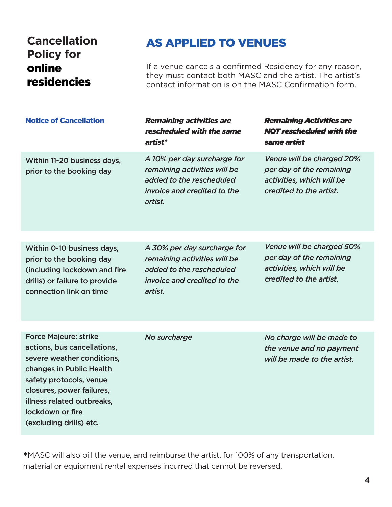### **Cancellation Policy for**  online residencies

### AS APPLIED TO VENUES

If a venue cancels a confirmed Residency for any reason, they must contact both MASC and the artist. The artist's contact information is on the MASC Confirmation form.

| <b>Notice of Cancellation</b>                           | <b>Remaining activities are</b><br>rescheduled with the same<br>artist*                                                                  | <b>Remaining Activities are</b><br><b>NOT rescheduled with the</b><br>same artist                             |
|---------------------------------------------------------|------------------------------------------------------------------------------------------------------------------------------------------|---------------------------------------------------------------------------------------------------------------|
| Within 11-20 business days,<br>prior to the booking day | A 10% per day surcharge for<br>remaining activities will be<br>added to the rescheduled<br><i>invoice and credited to the</i><br>artist. | Venue will be charged 20%<br>per day of the remaining<br>activities, which will be<br>credited to the artist. |
|                                                         |                                                                                                                                          |                                                                                                               |
| Within 0-10 business days,                              | A 30% per day surcharge for                                                                                                              | Venue will be charged 50%                                                                                     |

prior to the booking day (including lockdown and fire drills) or failure to provide connection link on time

*A 30% per day surcharge for remaining activities will be added to the rescheduled invoice and credited to the artist.*

*per day of the remaining activities, which will be credited to the artist.* 

Force Majeure: strike actions, bus cancellations, severe weather conditions, changes in Public Health safety protocols, venue closures, power failures, illness related outbreaks, lockdown or fire (excluding drills) etc.

*No surcharge*

*No charge will be made to the venue and no payment will be made to the artist.*

\*MASC will also bill the venue, and reimburse the artist, for 100% of any transportation, material or equipment rental expenses incurred that cannot be reversed.